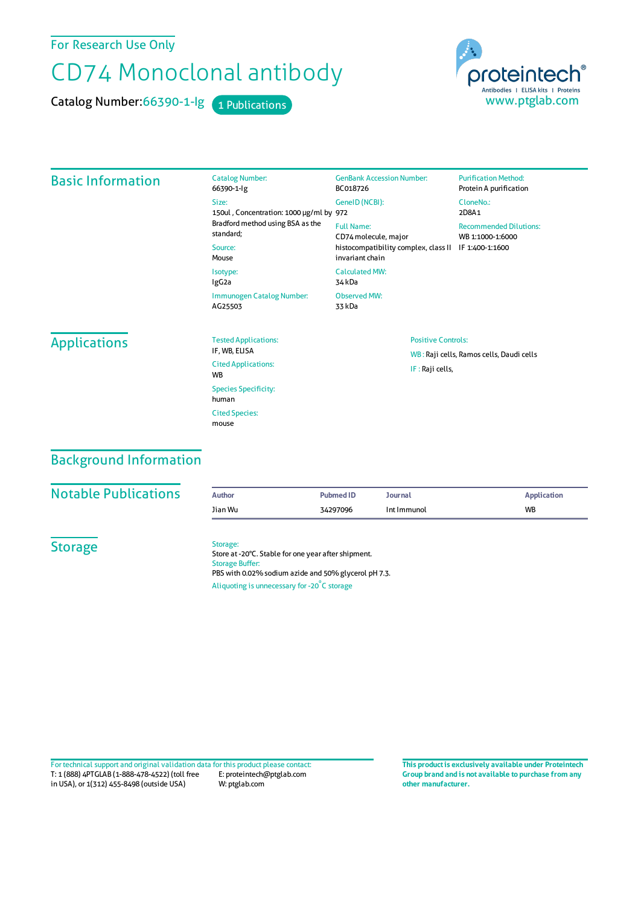For Research Use Only

# CD74 Monoclonal antibody

Catalog Number: 66390-1-lg 1 Publications



#### Basic Information Catalog Number: 66390-1-Ig Size: 150ul , Concentration: 1000 μg/ml by 972 Bradford method using BSA asthe standard; Source: Mouse Isotype: IgG2a Immunogen Catalog Number: AG25503 GenBank Accession Number: BC018726 GeneID(NCBI): Full Name: CD74molecule, major histocompatibility complex, class II IF 1:400-1:1600 invariant chain CalculatedMW: 34 kDa Observed MW: 33 kDa **Purification Method:** Protein A purification CloneNo.: 2D8A1 Recommended Dilutions: WB 1:1000-1:6000 **Applications** Tested Applications: IF, WB, ELISA Cited Applications: WB Species Specificity: human Cited Species: mouse Positive Controls: WB : Raji cells, Ramos cells, Daudi cells IF : Raji cells,

### Background Information

#### **Notable Publications**

| <b>Author</b> | <b>Pubmed ID</b> | Journal     | <b>Application</b> |
|---------------|------------------|-------------|--------------------|
| Jian Wu       | 34297096         | Int Immunol | <b>WB</b>          |

**Storage** 

#### Storage:

Store at -20°C. Stable for one year after shipment. Storage Buffer: PBS with 0.02% sodium azide and 50% glycerol pH 7.3. Aliquoting is unnecessary for -20<sup>°</sup>C storage

T: 1 (888) 4PTGLAB (1-888-478-4522) (toll free in USA), or 1(312) 455-8498 (outside USA) E: proteintech@ptglab.com W: ptglab.com Fortechnical support and original validation data forthis product please contact: **This productis exclusively available under Proteintech**

**Group brand and is not available to purchase from any other manufacturer.**